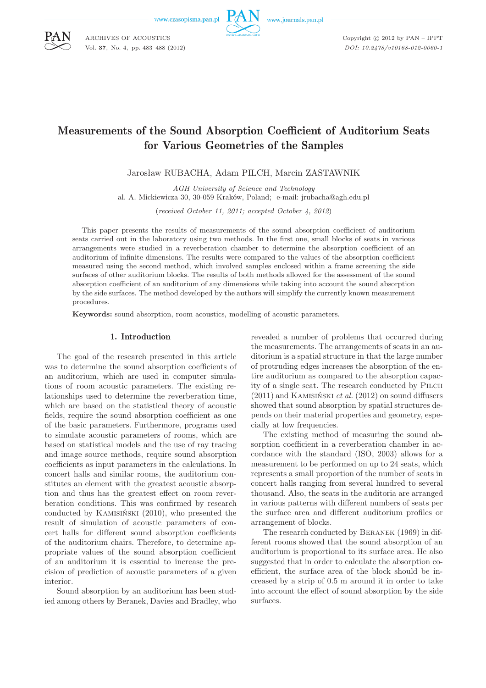www.czasopisma.pan.pl



Copyright  $\odot$  2012 by PAN - IPPT *DOI: 10.2478/v10168-012-0060-1*

# Measurements of the Sound Absorption Coefficient of Auditorium Seats for Various Geometries of the Samples

Jarosław RUBACHA, Adam PILCH, Marcin ZASTAWNIK

*AGH University of Science and Technology*

al. A. Mickiewicza 30, 30-059 Kraków, Poland; e-mail: jrubacha@agh.edu.pl

(*received October 11, 2011; accepted October 4, 2012*)

This paper presents the results of measurements of the sound absorption coefficient of auditorium seats carried out in the laboratory using two methods. In the first one, small blocks of seats in various arrangements were studied in a reverberation chamber to determine the absorption coefficient of an auditorium of infinite dimensions. The results were compared to the values of the absorption coefficient measured using the second method, which involved samples enclosed within a frame screening the side surfaces of other auditorium blocks. The results of both methods allowed for the assessment of the sound absorption coefficient of an auditorium of any dimensions while taking into account the sound absorption by the side surfaces. The method developed by the authors will simplify the currently known measurement procedures.

**Keywords:** sound absorption, room acoustics, modelling of acoustic parameters.

#### 1. Introduction

The goal of the research presented in this article was to determine the sound absorption coefficients of an auditorium, which are used in computer simulations of room acoustic parameters. The existing relationships used to determine the reverberation time, which are based on the statistical theory of acoustic fields, require the sound absorption coefficient as one of the basic parameters. Furthermore, programs used to simulate acoustic parameters of rooms, which are based on statistical models and the use of ray tracing and image source methods, require sound absorption coefficients as input parameters in the calculations. In concert halls and similar rooms, the auditorium constitutes an element with the greatest acoustic absorption and thus has the greatest effect on room reverberation conditions. This was confirmed by research conducted by Kamisiński (2010), who presented the result of simulation of acoustic parameters of concert halls for different sound absorption coefficients of the auditorium chairs. Therefore, to determine appropriate values of the sound absorption coefficient of an auditorium it is essential to increase the precision of prediction of acoustic parameters of a given interior.

Sound absorption by an auditorium has been studied among others by Beranek, Davies and Bradley, who

revealed a number of problems that occurred during the measurements. The arrangements of seats in an auditorium is a spatial structure in that the large number of protruding edges increases the absorption of the entire auditorium as compared to the absorption capacity of a single seat. The research conducted by PILCH (2011) and Kamisiński *et al.* (2012) on sound diffusers showed that sound absorption by spatial structures depends on their material properties and geometry, especially at low frequencies.

The existing method of measuring the sound absorption coefficient in a reverberation chamber in accordance with the standard (ISO, 2003) allows for a measurement to be performed on up to 24 seats, which represents a small proportion of the number of seats in concert halls ranging from several hundred to several thousand. Also, the seats in the auditoria are arranged in various patterns with different numbers of seats per the surface area and different auditorium profiles or arrangement of blocks.

The research conducted by Beranek (1969) in different rooms showed that the sound absorption of an auditorium is proportional to its surface area. He also suggested that in order to calculate the absorption coefficient, the surface area of the block should be increased by a strip of 0.5 m around it in order to take into account the effect of sound absorption by the side surfaces.



ARCHIVES OF ACOUSTICS Vol. **37**, No. 4, pp. 483–488 (2012)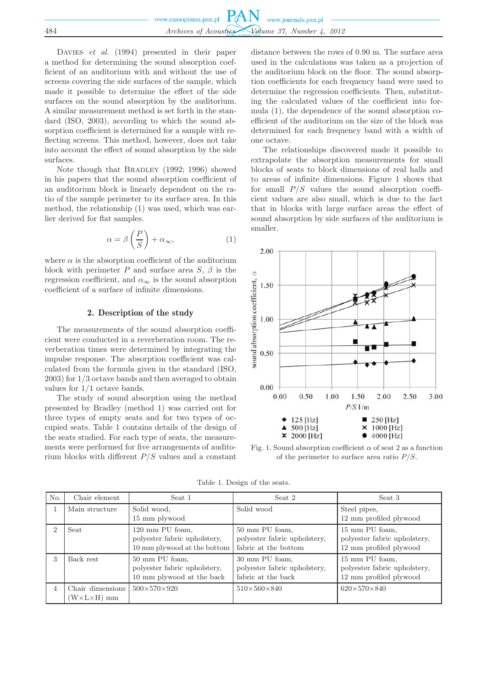|     | www.czasopisma.pan.pl $PAN$ www.journals.pan.pl |  |
|-----|-------------------------------------------------|--|
|     |                                                 |  |
| 484 | Archives of Acoustics Volume 37, Number 4, 2012 |  |

DAVIES *et al.* (1994) presented in their paper a method for determining the sound absorption coefficient of an auditorium with and without the use of screens covering the side surfaces of the sample, which made it possible to determine the effect of the side surfaces on the sound absorption by the auditorium. A similar measurement method is set forth in the standard (ISO, 2003), according to which the sound absorption coefficient is determined for a sample with reflecting screens. This method, however, does not take into account the effect of sound absorption by the side surfaces.

Note though that BRADLEY (1992; 1996) showed in his papers that the sound absorption coefficient of an auditorium block is linearly dependent on the ratio of the sample perimeter to its surface area. In this method, the relationship (1) was used, which was earlier derived for flat samples.

$$
\alpha = \beta \left( \frac{P}{S} \right) + \alpha_{\infty},\tag{1}
$$

where  $\alpha$  is the absorption coefficient of the auditorium block with perimeter P and surface area S,  $\beta$  is the regression coefficient, and  $\alpha_{\infty}$  is the sound absorption coefficient of a surface of infinite dimensions.

## 2. Description of the study

The measurements of the sound absorption coefficient were conducted in a reverberation room. The reverberation times were determined by integrating the impulse response. The absorption coefficient was calculated from the formula given in the standard (ISO, 2003) for 1/3 octave bands and then averaged to obtain values for 1/1 octave bands.

The study of sound absorption using the method presented by Bradley (method 1) was carried out for three types of empty seats and for two types of occupied seats. Table 1 contains details of the design of the seats studied. For each type of seats, the measurements were performed for five arrangements of auditorium blocks with different  $P/S$  values and a constant distance between the rows of 0.90 m. The surface area used in the calculations was taken as a projection of the auditorium block on the floor. The sound absorption coefficients for each frequency band were used to determine the regression coefficients. Then, substituting the calculated values of the coefficient into formula (1), the dependence of the sound absorption coefficient of the auditorium on the size of the block was determined for each frequency band with a width of one octave.

The relationships discovered made it possible to extrapolate the absorption measurements for small blocks of seats to block dimensions of real halls and to areas of infinite dimensions. Figure 1 shows that for small  $P/S$  values the sound absorption coefficient values are also small, which is due to the fact that in blocks with large surface areas the effect of sound absorption by side surfaces of the auditorium is smaller.



Fig. 1. Sound absorption coefficient  $\alpha$  of seat 2 as a function of the perimeter to surface area ratio  $P/S$ .

Table 1. Design of the seats.

| No.            | Chair element                                  | Seat 1                                                                         | Seat 2                                                                 | Seat 3                                                                   |
|----------------|------------------------------------------------|--------------------------------------------------------------------------------|------------------------------------------------------------------------|--------------------------------------------------------------------------|
|                | Main structure                                 | Solid wood,<br>15 mm plywood                                                   | Solid wood                                                             | Steel pipes,<br>12 mm profiled plywood                                   |
| $\overline{2}$ | Seat                                           | 120 mm PU foam,<br>polyester fabric upholstery,<br>10 mm plywood at the bottom | 50 mm PU foam,<br>polyester fabric upholstery,<br>fabric at the bottom | 15 mm PU foam,<br>polyester fabric upholstery,<br>12 mm profiled plywood |
| 3              | Back rest                                      | 50 mm PU foam,<br>polyester fabric upholstery,<br>10 mm plywood at the back    | 30 mm PU foam,<br>polyester fabric upholstery,<br>fabric at the back   | 15 mm PU foam,<br>polyester fabric upholstery,<br>12 mm profiled plywood |
| $\overline{4}$ | Chair dimensions<br>$(W \times L \times H)$ mm | $500 \times 570 \times 920$                                                    | $510\times560\times840$                                                | $620 \times 570 \times 840$                                              |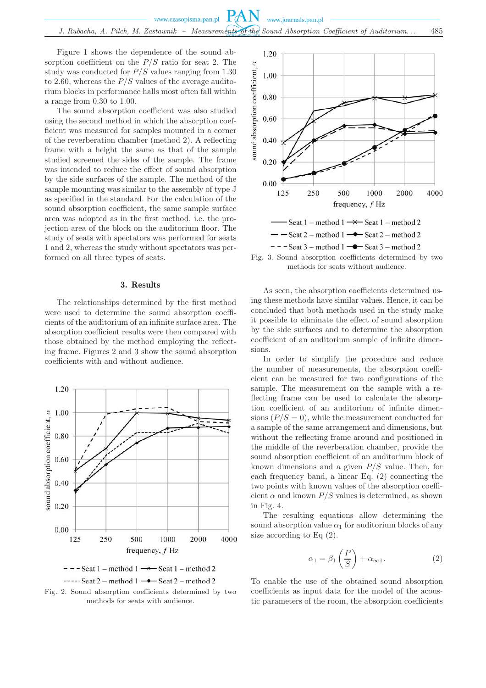Figure 1 shows the dependence of the sound absorption coefficient on the  $P/S$  ratio for seat 2. The study was conducted for  $P/S$  values ranging from 1.30 to 2.60, whereas the  $P/S$  values of the average auditorium blocks in performance halls most often fall within a range from 0.30 to 1.00.

The sound absorption coefficient was also studied using the second method in which the absorption coefficient was measured for samples mounted in a corner of the reverberation chamber (method 2). A reflecting frame with a height the same as that of the sample studied screened the sides of the sample. The frame was intended to reduce the effect of sound absorption by the side surfaces of the sample. The method of the sample mounting was similar to the assembly of type J as specified in the standard. For the calculation of the sound absorption coefficient, the same sample surface area was adopted as in the first method, i.e. the projection area of the block on the auditorium floor. The study of seats with spectators was performed for seats 1 and 2, whereas the study without spectators was performed on all three types of seats.

### 3. Results

The relationships determined by the first method were used to determine the sound absorption coefficients of the auditorium of an infinite surface area. The absorption coefficient results were then compared with those obtained by the method employing the reflecting frame. Figures 2 and 3 show the sound absorption coefficients with and without audience.





Fig. 2. Sound absorption coefficients determined by two methods for seats with audience.



Fig. 3. Sound absorption coefficients determined by two methods for seats without audience.

As seen, the absorption coefficients determined using these methods have similar values. Hence, it can be concluded that both methods used in the study make it possible to eliminate the effect of sound absorption by the side surfaces and to determine the absorption coefficient of an auditorium sample of infinite dimensions.

In order to simplify the procedure and reduce the number of measurements, the absorption coefficient can be measured for two configurations of the sample. The measurement on the sample with a reflecting frame can be used to calculate the absorption coefficient of an auditorium of infinite dimensions  $(P/S = 0)$ , while the measurement conducted for a sample of the same arrangement and dimensions, but without the reflecting frame around and positioned in the middle of the reverberation chamber, provide the sound absorption coefficient of an auditorium block of known dimensions and a given  $P/S$  value. Then, for each frequency band, a linear Eq. (2) connecting the two points with known values of the absorption coefficient  $\alpha$  and known  $P/S$  values is determined, as shown in Fig. 4.

The resulting equations allow determining the sound absorption value  $\alpha_1$  for auditorium blocks of any size according to Eq  $(2)$ .

$$
\alpha_1 = \beta_1 \left(\frac{P}{S}\right) + \alpha_{\infty 1}.\tag{2}
$$

To enable the use of the obtained sound absorption coefficients as input data for the model of the acoustic parameters of the room, the absorption coefficients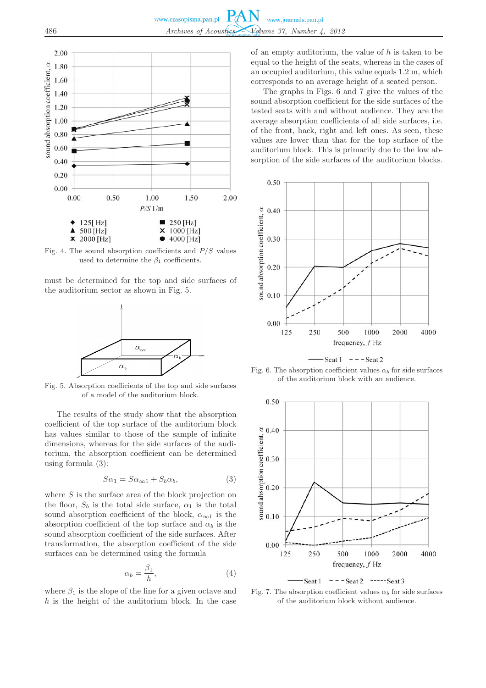

Fig. 4. The sound absorption coefficients and  $P/S$  values used to determine the  $\beta_1$  coefficients.

must be determined for the top and side surfaces of the auditorium sector as shown in Fig. 5.



Fig. 5. Absorption coefficients of the top and side surfaces of a model of the auditorium block.

The results of the study show that the absorption coefficient of the top surface of the auditorium block has values similar to those of the sample of infinite dimensions, whereas for the side surfaces of the auditorium, the absorption coefficient can be determined using formula (3):

$$
S\alpha_1 = S\alpha_{\infty 1} + S_b \alpha_b, \tag{3}
$$

where  $S$  is the surface area of the block projection on the floor,  $S_b$  is the total side surface,  $\alpha_1$  is the total sound absorption coefficient of the block,  $\alpha_{\infty}$  is the absorption coefficient of the top surface and  $\alpha_b$  is the sound absorption coefficient of the side surfaces. After transformation, the absorption coefficient of the side surfaces can be determined using the formula

$$
\alpha_b = \frac{\beta_1}{h},\tag{4}
$$

where  $\beta_1$  is the slope of the line for a given octave and  $h$  is the height of the auditorium block. In the case of an empty auditorium, the value of  $h$  is taken to be equal to the height of the seats, whereas in the cases of an occupied auditorium, this value equals 1.2 m, which corresponds to an average height of a seated person.

The graphs in Figs. 6 and 7 give the values of the sound absorption coefficient for the side surfaces of the tested seats with and without audience. They are the average absorption coefficients of all side surfaces, i.e. of the front, back, right and left ones. As seen, these values are lower than that for the top surface of the auditorium block. This is primarily due to the low absorption of the side surfaces of the auditorium blocks.



Seat  $1 - -$ Seat 2

Fig. 6. The absorption coefficient values  $\alpha_b$  for side surfaces of the auditorium block with an audience.



Seat 1  $---$  Seat 2  $---$  Seat 3

Fig. 7. The absorption coefficient values  $\alpha_b$  for side surfaces of the auditorium block without audience.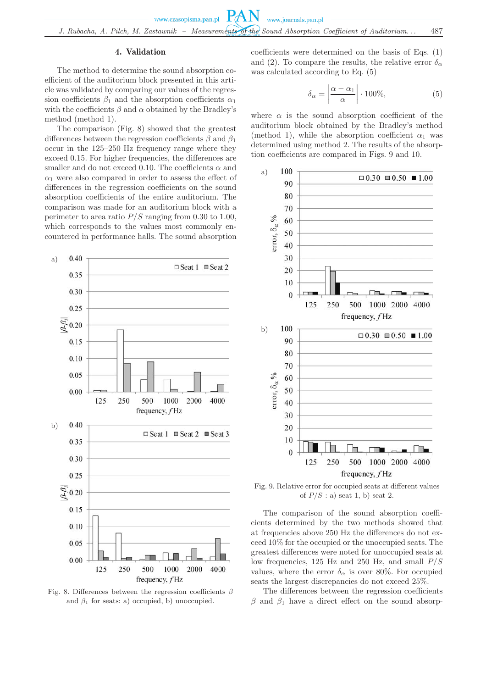## 4. Validation

The method to determine the sound absorption coefficient of the auditorium block presented in this article was validated by comparing our values of the regression coefficients  $\beta_1$  and the absorption coefficients  $\alpha_1$ with the coefficients  $\beta$  and  $\alpha$  obtained by the Bradley's method (method 1).

The comparison (Fig. 8) showed that the greatest differences between the regression coefficients  $\beta$  and  $\beta_1$ occur in the 125–250 Hz frequency range where they exceed 0.15. For higher frequencies, the differences are smaller and do not exceed 0.10. The coefficients  $\alpha$  and  $\alpha_1$  were also compared in order to assess the effect of differences in the regression coefficients on the sound absorption coefficients of the entire auditorium. The comparison was made for an auditorium block with a perimeter to area ratio  $P/S$  ranging from 0.30 to 1.00, which corresponds to the values most commonly encountered in performance halls. The sound absorption



Fig. 8. Differences between the regression coefficients  $\beta$ and  $\beta_1$  for seats: a) occupied, b) unoccupied.

coefficients were determined on the basis of Eqs. (1) and (2). To compare the results, the relative error  $\delta_{\alpha}$ was calculated according to Eq. (5)

$$
\delta_{\alpha} = \left| \frac{\alpha - \alpha_1}{\alpha} \right| \cdot 100\%,\tag{5}
$$

where  $\alpha$  is the sound absorption coefficient of the auditorium block obtained by the Bradley's method (method 1), while the absorption coefficient  $\alpha_1$  was determined using method 2. The results of the absorption coefficients are compared in Figs. 9 and 10.



Fig. 9. Relative error for occupied seats at different values of  $P/S$ : a) seat 1, b) seat 2.

The comparison of the sound absorption coefficients determined by the two methods showed that at frequencies above 250 Hz the differences do not exceed 10% for the occupied or the unoccupied seats. The greatest differences were noted for unoccupied seats at low frequencies, 125 Hz and 250 Hz, and small  $P/S$ values, where the error  $\delta_{\alpha}$  is over 80%. For occupied seats the largest discrepancies do not exceed 25%.

The differences between the regression coefficients  $\beta$  and  $\beta_1$  have a direct effect on the sound absorp-